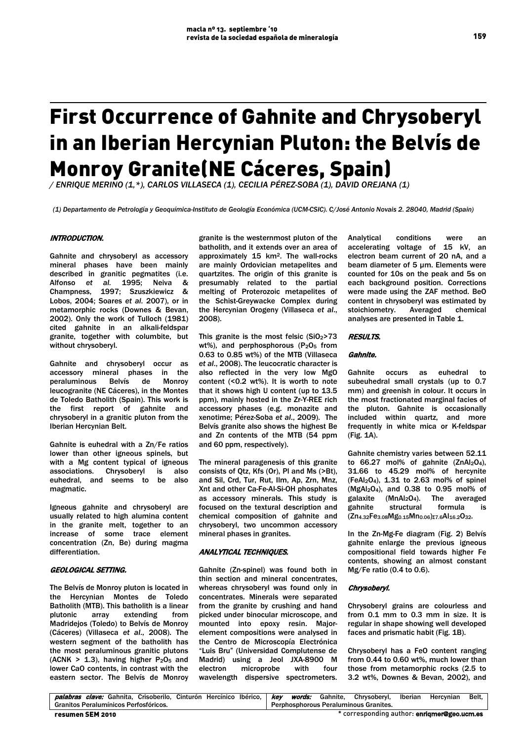# First Occurrence of Gahnite and Chrysoberyl in an Iberian Hercynian Pluton: the Belvís de Monroy Granite(NE Cáceres, Spain)

*/ ENRIQUE MERINO (1,\*), CARLOS VILLASECA (1), CECILIA PÉREZ-SOBA (1), DAVID OREJANA (1)*

*(1) Departamento de Petrología y Geoquímica-Instituto de Geología Económica (UCM-CSIC). C/José Antonio Novais 2. 28040, Madrid (Spain)*

# INTRODUCTION.

Gahnite and chrysoberyl as accessory mineral phases have been mainly described in granitic pegmatites (i.e. Alfonso *et al.* 1995; Neiva & Champness, 1997; Szuszkiewicz & Lobos, 2004; Soares *et al.* 2007), or in metamorphic rocks (Downes & Bevan, 2002). Only the work of Tulloch (1981) cited gahnite in an alkali-feldspar granite, together with columbite, but without chrysoberyl.

Gahnite and chrysoberyl occur as accessory mineral phases in the peraluminous Belvís de Monroy leucogranite (NE Cáceres), in the Montes de Toledo Batholith (Spain). This work is the first report of gahnite and chrysoberyl in a granitic pluton from the Iberian Hercynian Belt.

Gahnite is euhedral with a Zn/Fe ratios lower than other igneous spinels, but with a Mg content typical of igneous associations. Chrysoberyl is also euhedral, and seems to be also magmatic.

Igneous gahnite and chrysoberyl are usually related to high alumina content in the granite melt, together to an increase of some trace element concentration (Zn, Be) during magma differentiation.

## GEOLOGICAL SETTING.

The Belvís de Monroy pluton is located in the Hercynian Montes de Toledo Batholith (MTB). This batholith is a linear plutonic array extending from Madridejos (Toledo) to Belvís de Monroy (Cáceres) (Villaseca *et al*., 2008). The western segment of the batholith has the most peraluminous granitic plutons (ACNK >  $1.3$ ), having higher P<sub>2</sub>O<sub>5</sub> and lower CaO contents, in contrast with the eastern sector. The Belvís de Monroy

granite is the westernmost pluton of the batholith, and it extends over an area of approximately 15 km2. The wall-rocks are mainly Ordovician metapelites and quartzites. The origin of this granite is presumably related to the partial melting of Proterozoic metapelites of the Schist-Greywacke Complex during the Hercynian Orogeny (Villaseca *et al*., 2008).

This granite is the most felsic  $(SiO<sub>2</sub>>73$ wt%), and perphosphorous (P<sub>2</sub>O<sub>5</sub> from 0.63 to 0.85 wt%) of the MTB (Villaseca *et al*., 2008). The leucocratic character is also reflected in the very low MgO content (<0.2 wt%). It is worth to note that it shows high U content (up to 13.5 ppm), mainly hosted in the Zr-Y-REE rich accessory phases (e.g. monazite and xenotime; Pérez-Soba *et al*., 2009). The Belvís granite also shows the highest Be and Zn contents of the MTB (54 ppm and 60 ppm, respectively).

The mineral paragenesis of this granite consists of Qtz, Kfs (Or), Pl and Ms (>Bt), and Sil, Crd, Tur, Rut, Ilm, Ap, Zrn, Mnz, Xnt and other Ca-Fe-Al-Si-OH phosphates as accessory minerals. This study is focused on the textural description and chemical composition of gahnite and chrysoberyl, two uncommon accessory mineral phases in granites.

# ANALYTICAL TECHNIQUES.

Gahnite (Zn-spinel) was found both in thin section and mineral concentrates, whereas chrysoberyl was found only in concentrates. Minerals were separated from the granite by crushing and hand picked under binocular microscope, and mounted into epoxy resin. Majorelement compositions were analysed in the Centro de Microscopía Electrónica "Luis Bru" (Universidad Complutense de Madrid) using a Jeol JXA-8900 M electron microprobe with four wavelength dispersive spectrometers.

Analytical conditions were an accelerating voltage of 15 kV, an electron beam current of 20 nA, and a beam diameter of 5 µm. Elements were counted for 10s on the peak and 5s on each background position. Corrections were made using the ZAF method. BeO content in chrysoberyl was estimated by stoichiometry. Averaged chemical analyses are presented in Table 1.

### RESULTS.

## Gahnite.

Gahnite occurs as euhedral to subeuhedral small crystals (up to 0.7 mm) and greenish in colour. It occurs in the most fractionated marginal facies of the pluton. Gahnite is occasionally included within quartz, and more frequently in white mica or K-feldspar (Fig. 1A).

Gahnite chemistry varies between 52.11 to  $66.27$  mol% of gahnite (ZnAl<sub>2</sub>O<sub>4</sub>), 31.66 to 45.29 mol% of hercynite  $(FeAl<sub>2</sub>O<sub>4</sub>)$ , 1.31 to 2.63 mol% of spinel (MgAl2O4), and 0.38 to 0.95 mol% of galaxite  $(MnAl<sub>2</sub>O<sub>4</sub>)$ . The averaged gahnite structural formula is (Zn4.32Fe3.08Mg0.15Mn0.06)Σ7.6Al16.2O32.

In the Zn-Mg-Fe diagram (Fig. 2) Belvís gahnite enlarge the previous igneous compositional field towards higher Fe contents, showing an almost constant Mg/Fe ratio (0.4 to 0.6).

### Chrysoberyl.

Chrysoberyl grains are colourless and from 0.1 mm to 0.3 mm in size. It is regular in shape showing well developed faces and prismatic habit (Fig. 1B).

Chrysoberyl has a FeO content ranging from 0.44 to 0.60 wt%, much lower than those from metamorphic rocks (2.5 to 3.2 wt%, Downes & Bevan, 2002), and

| resumen SEM 2010                                                                                                              | * corresponding author: enrigmer@geo.ucm.es |
|-------------------------------------------------------------------------------------------------------------------------------|---------------------------------------------|
| Granitos Peralumínicos Perfosfóricos.                                                                                         | Perphosphorous Peraluminous Granites.       |
| palabras clave: Gahnita, Crisoberilo, Cinturón Hercínico Ibérico, <i>  key words:</i> Gahnite, Chrysoberyl, Iberian Hercynian | Belt.                                       |